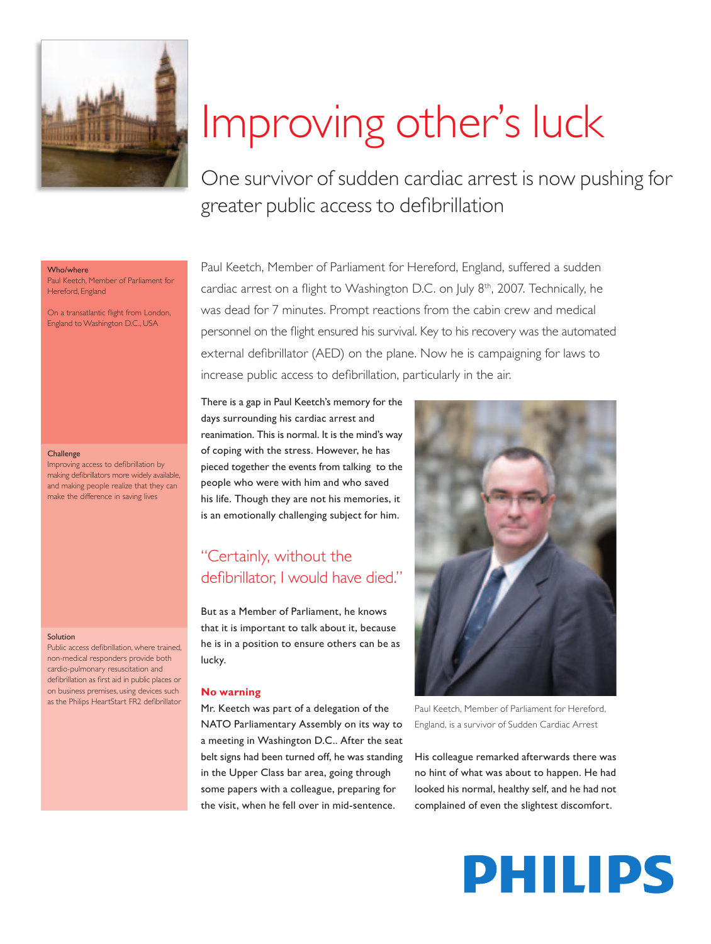

# Improving other's luck

One survivor of sudden cardiac arrest is now pushing for greater public access to defibrillation

#### Who/where

Paul Keetch, Member of Parliament for Hereford, England

On a transatlantic flight from London, England to Washington D.C., USA

#### **Challenge**

Improving access to defibrillation by making defibrillators more widely available, and making people realize that they can make the difference in saving lives

#### Solution

Public access defibrillation, where trained, non-medical responders provide both cardio-pulmonary resuscitation and defibrillation as first aid in public places or on business premises, using devices such as the Philips HeartStart FR2 defibrillator

Paul Keetch, Member of Parliament for Hereford, England, suffered a sudden cardiac arrest on a flight to Washington D.C. on July 8<sup>th</sup>, 2007. Technically, he was dead for 7 minutes. Prompt reactions from the cabin crew and medical personnel on the flight ensured his survival. Key to his recovery was the automated external defibrillator (AED) on the plane. Now he is campaigning for laws to increase public access to defibrillation, particularly in the air.

There is a gap in Paul Keetch's memory for the days surrounding his cardiac arrest and reanimation. This is normal. It is the mind's way of coping with the stress. However, he has pieced together the events from talking to the people who were with him and who saved his life. Though they are not his memories, it is an emotionally challenging subject for him.

## "Certainly, without the defibrillator. I would have died."

But as a Member of Parliament, he knows that it is important to talk about it, because he is in a position to ensure others can be as lucky.

#### **No warning**

Mr. Keetch was part of a delegation of the NATO Parliamentary Assembly on its way to a meeting in Washington D.C.. After the seat belt signs had been turned off, he was standing in the Upper Class bar area, going through some papers with a colleague, preparing for the visit, when he fell over in mid-sentence.



Paul Keetch, Member of Parliament for Hereford, England, is a survivor of Sudden Cardiac Arrest

His colleague remarked afterwards there was no hint of what was about to happen. He had looked his normal, healthy self, and he had not complained of even the slightest discomfort.

## **PHILIPS**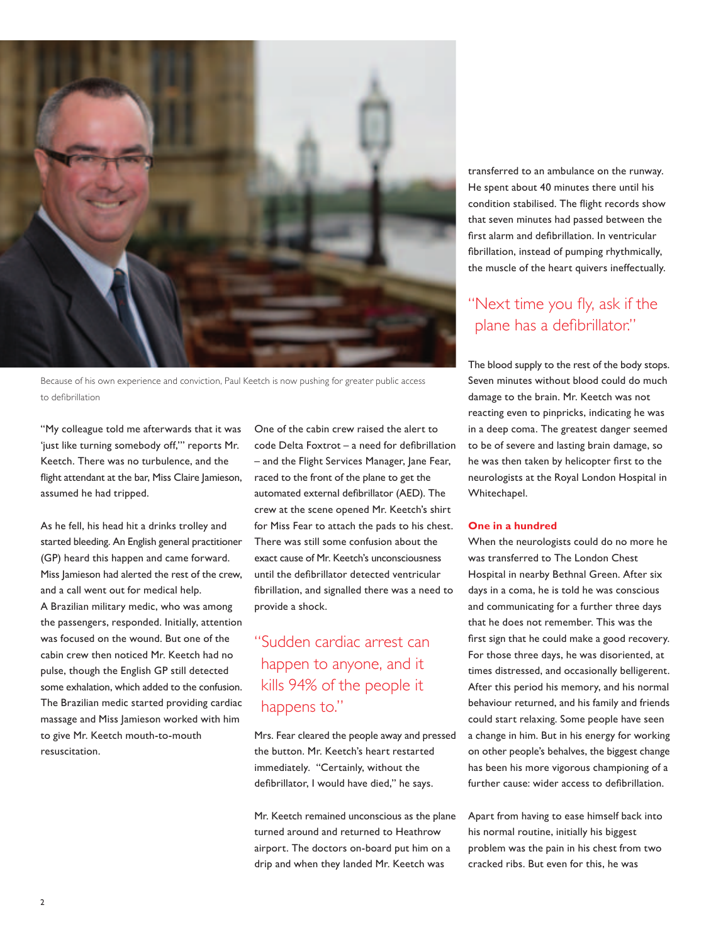

Because of his own experience and conviction, Paul Keetch is now pushing for greater public access to defibrillation

"My colleague told me afterwards that it was 'just like turning somebody off,'" reports Mr. Keetch. There was no turbulence, and the flight attendant at the bar, Miss Claire Jamieson, assumed he had tripped.

As he fell, his head hit a drinks trolley and started bleeding. An English general practitioner (GP) heard this happen and came forward. Miss Jamieson had alerted the rest of the crew, and a call went out for medical help. A Brazilian military medic, who was among the passengers, responded. Initially, attention was focused on the wound. But one of the cabin crew then noticed Mr. Keetch had no pulse, though the English GP still detected some exhalation, which added to the confusion. The Brazilian medic started providing cardiac massage and Miss Jamieson worked with him to give Mr. Keetch mouth-to-mouth resuscitation.

One of the cabin crew raised the alert to  $code$  Delta Foxtrot – a need for defibrillation - and the Flight Services Manager, Jane Fear, raced to the front of the plane to get the automated external defibrillator (AED). The crew at the scene opened Mr. Keetch's shirt for Miss Fear to attach the pads to his chest. There was still some confusion about the exact cause of Mr. Keetch's unconsciousness until the defibrillator detected ventricular fibrillation, and signalled there was a need to provide a shock.

## "Sudden cardiac arrest can happen to anyone, and it kills 94% of the people it happens to."

Mrs. Fear cleared the people away and pressed the button. Mr. Keetch's heart restarted immediately. "Certainly, without the defibrillator, I would have died," he says.

Mr. Keetch remained unconscious as the plane turned around and returned to Heathrow airport. The doctors on-board put him on a drip and when they landed Mr. Keetch was

transferred to an ambulance on the runway. He spent about 40 minutes there until his condition stabilised. The flight records show that seven minutes had passed between the first alarm and defibrillation. In ventricular fibrillation, instead of pumping rhythmically, the muscle of the heart quivers ineffectually.

## "Next time you fly, ask if the plane has a defibrillator."

The blood supply to the rest of the body stops. Seven minutes without blood could do much damage to the brain. Mr. Keetch was not reacting even to pinpricks, indicating he was in a deep coma. The greatest danger seemed to be of severe and lasting brain damage, so he was then taken by helicopter first to the neurologists at the Royal London Hospital in Whitechapel.

#### **One in a hundred**

When the neurologists could do no more he was transferred to The London Chest Hospital in nearby Bethnal Green. After six days in a coma, he is told he was conscious and communicating for a further three days that he does not remember. This was the first sign that he could make a good recovery. For those three days, he was disoriented, at times distressed, and occasionally belligerent. After this period his memory, and his normal behaviour returned, and his family and friends could start relaxing. Some people have seen a change in him. But in his energy for working on other people's behalves, the biggest change has been his more vigorous championing of a further cause: wider access to defibrillation.

Apart from having to ease himself back into his normal routine, initially his biggest problem was the pain in his chest from two cracked ribs. But even for this, he was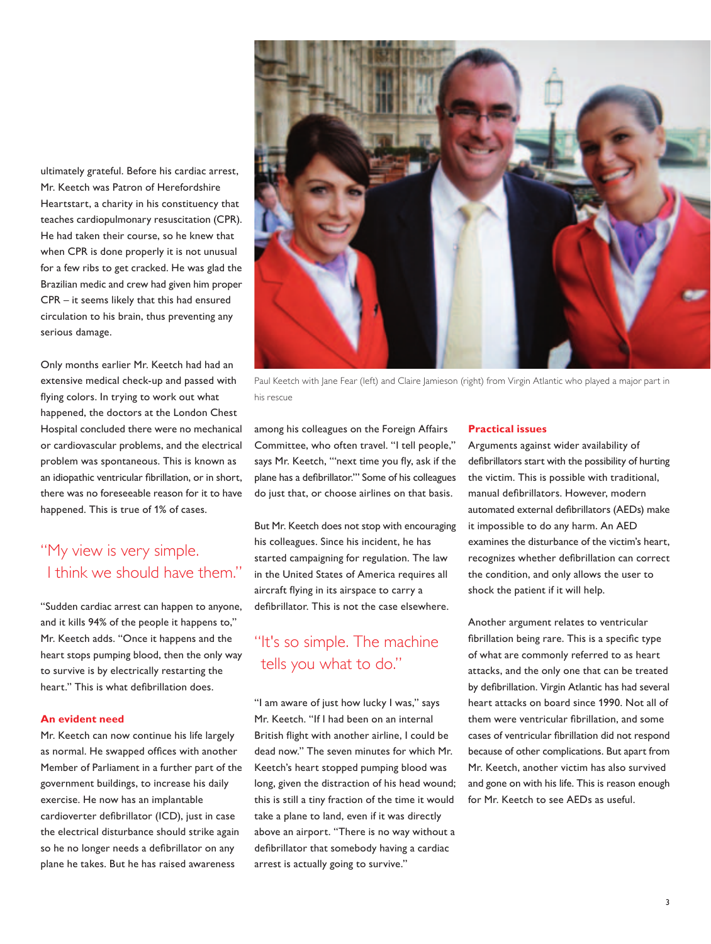ultimately grateful. Before his cardiac arrest, Mr. Keetch was Patron of Herefordshire Heartstart, a charity in his constituency that teaches cardiopulmonary resuscitation (CPR). He had taken their course, so he knew that when CPR is done properly it is not unusual for a few ribs to get cracked. He was glad the Brazilian medic and crew had given him proper CPR – it seems likely that this had ensured circulation to his brain, thus preventing any serious damage.

Only months earlier Mr. Keetch had had an extensive medical check-up and passed with flying colors. In trying to work out what happened, the doctors at the London Chest Hospital concluded there were no mechanical or cardiovascular problems, and the electrical problem was spontaneous. This is known as an idiopathic ventricular fibrillation, or in short, there was no foreseeable reason for it to have happened. This is true of 1% of cases.

## "My view is very simple. I think we should have them."

"Sudden cardiac arrest can happen to anyone, and it kills 94% of the people it happens to," Mr. Keetch adds. "Once it happens and the heart stops pumping blood, then the only way to survive is by electrically restarting the heart." This is what defibrillation does.

#### **An evident need**

Mr. Keetch can now continue his life largely as normal. He swapped offices with another Member of Parliament in a further part of the government buildings, to increase his daily exercise. He now has an implantable cardioverter defibrillator (ICD), just in case the electrical disturbance should strike again so he no longer needs a defibrillator on any plane he takes. But he has raised awareness



Paul Keetch with Jane Fear (left) and Claire Jamieson (right) from Virgin Atlantic who played a major part in his rescue

among his colleagues on the Foreign Affairs Committee, who often travel. "I tell people," says Mr. Keetch, "'next time you fly, ask if the plane has a defibrillator."' Some of his colleagues do just that, or choose airlines on that basis.

But Mr. Keetch does not stop with encouraging his colleagues. Since his incident, he has started campaigning for regulation. The law in the United States of America requires all aircraft flying in its airspace to carry a defibrillator. This is not the case elsewhere.

## "It's so simple. The machine tells you what to do."

"I am aware of just how lucky I was," says Mr. Keetch. "If I had been on an internal British flight with another airline, I could be dead now." The seven minutes for which Mr. Keetch's heart stopped pumping blood was long, given the distraction of his head wound; this is still a tiny fraction of the time it would take a plane to land, even if it was directly above an airport. "There is no way without a defibrillator that somebody having a cardiac arrest is actually going to survive."

#### **Practical issues**

Arguments against wider availability of defibrillators start with the possibility of hurting the victim. This is possible with traditional, manual defibrillators. However, modern automated external defibrillators (AEDs) make it impossible to do any harm. An AED examines the disturbance of the victim's heart, recognizes whether defibrillation can correct the condition, and only allows the user to shock the patient if it will help.

Another argument relates to ventricular fibrillation being rare. This is a specific type of what are commonly referred to as heart attacks, and the only one that can be treated by defibrillation. Virgin Atlantic has had several heart attacks on board since 1990. Not all of them were ventricular fibrillation, and some cases of ventricular fibrillation did not respond because of other complications. But apart from Mr. Keetch, another victim has also survived and gone on with his life. This is reason enough for Mr. Keetch to see AEDs as useful.